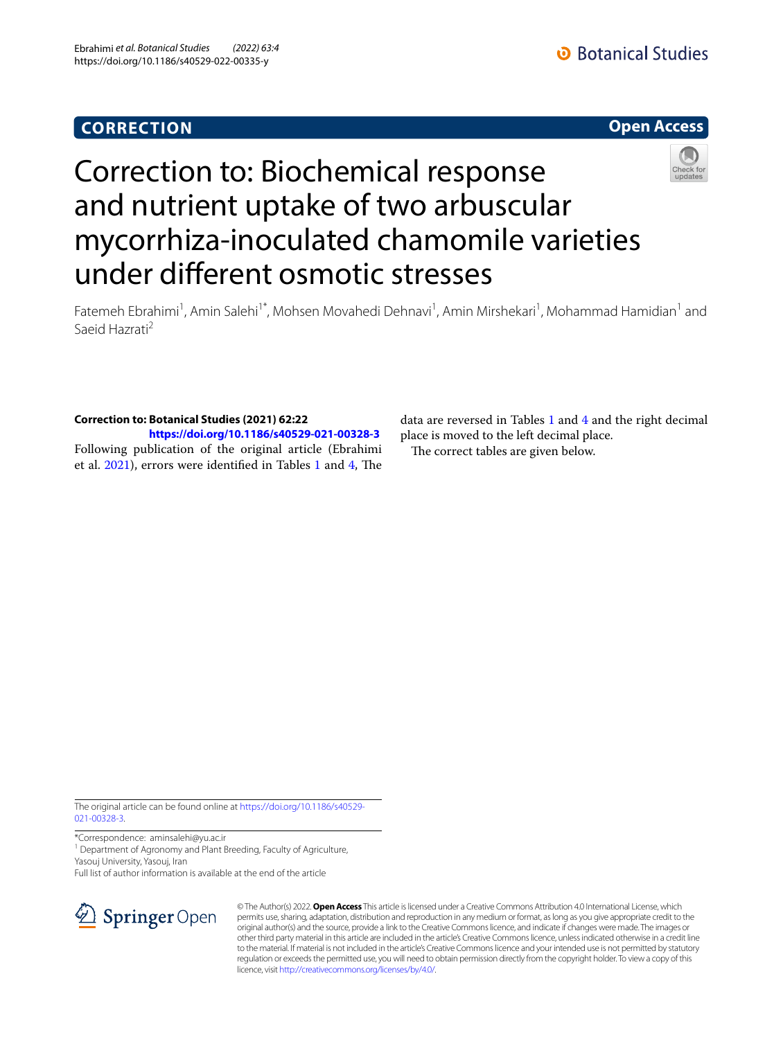# **CORRECTION**



# Correction to: Biochemical response and nutrient uptake of two arbuscular mycorrhiza-inoculated chamomile varieties under diferent osmotic stresses



Fatemeh Ebrahimi<sup>1</sup>, Amin Salehi<sup>1\*</sup>, Mohsen Movahedi Dehnavi<sup>1</sup>, Amin Mirshekari<sup>1</sup>, Mohammad Hamidian<sup>1</sup> and Saeid Hazrati2

## **Correction to: Botanical Studies (2021) 62:22**

**<https://doi.org/10.1186/s40529-021-00328-3>** Following publication of the original article (Ebrahimi et al. [2021](#page-2-0)), errors were identified in Tables [1](#page-1-0) and [4](#page-2-1), The

data are reversed in Tables [1](#page-1-0) and [4](#page-2-1) and the right decimal place is moved to the left decimal place. The correct tables are given below.

The original article can be found online at [https://doi.org/10.1186/s40529-](https://doi.org/10.1186/s40529-021-00328-3) [021-00328-3](https://doi.org/10.1186/s40529-021-00328-3).

\*Correspondence: aminsalehi@yu.ac.ir

<sup>1</sup> Department of Agronomy and Plant Breeding, Faculty of Agriculture, Yasouj University, Yasouj, Iran

Full list of author information is available at the end of the article



© The Author(s) 2022. **Open Access** This article is licensed under a Creative Commons Attribution 4.0 International License, which permits use, sharing, adaptation, distribution and reproduction in any medium or format, as long as you give appropriate credit to the original author(s) and the source, provide a link to the Creative Commons licence, and indicate if changes were made. The images or other third party material in this article are included in the article's Creative Commons licence, unless indicated otherwise in a credit line to the material. If material is not included in the article's Creative Commons licence and your intended use is not permitted by statutory regulation or exceeds the permitted use, you will need to obtain permission directly from the copyright holder. To view a copy of this licence, visit [http://creativecommons.org/licenses/by/4.0/.](http://creativecommons.org/licenses/by/4.0/)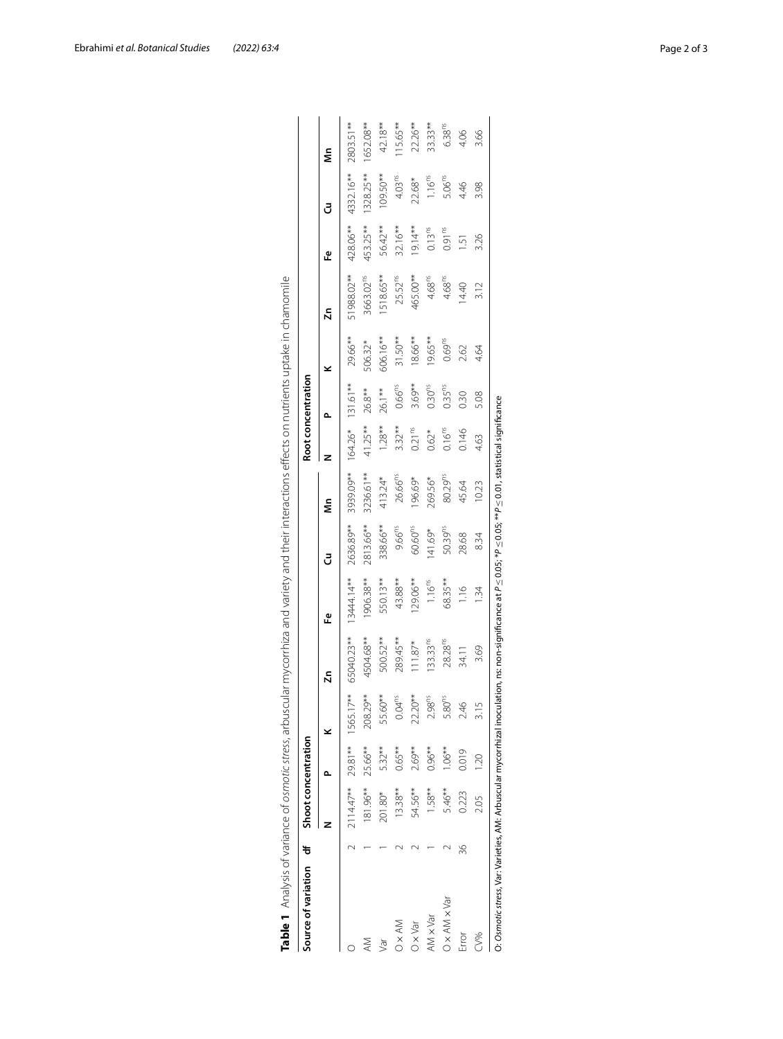| Source of variation df Shoot concentration                                                                                                                                          |    |                             |                |                    |                      |                |                     |                     |                    | Root concentration |                    |                       |                    |                    |                    |
|-------------------------------------------------------------------------------------------------------------------------------------------------------------------------------------|----|-----------------------------|----------------|--------------------|----------------------|----------------|---------------------|---------------------|--------------------|--------------------|--------------------|-----------------------|--------------------|--------------------|--------------------|
|                                                                                                                                                                                     |    |                             |                |                    | Σn                   | Δ              | კ                   | ⋚                   |                    |                    | ⊻                  | ă                     | <u>ው</u>           | J                  | ⋚                  |
|                                                                                                                                                                                     |    | 2114.47** 29.81** 1565.17** |                |                    | 65040.23**           | $13444.14**$   | 2636.89**           | 3939.09**           |                    | 164.26* 131.61**   | 29.66**            | 51988.02**            | 428.06**           | 4332.16**          | 2803.51**          |
|                                                                                                                                                                                     |    | 181.96**                    | 25.66**        | 208.29**           | 4504.68**            | 906.38**       | 2813.66**           | 3236.61**           | 41.25**            | 26.8**             | 506.32*            | 3663.02 <sup>ms</sup> | 453.25**           | 1328.25**          | 1652.08**          |
| Tē/                                                                                                                                                                                 |    | 201.80*                     | 5.32**         | 55.60**            | 500.52**             | 550.13**       | 338.66**            | 413.24*             | $1.28**$           | 26.1**             | 606.16**           | 518.65**              | 56.42**            | $109.50**$         | 42.18**            |
| ) x AM                                                                                                                                                                              |    | $13.38**$                   | $0.65***$      | 0.04 <sup>ns</sup> | 289.45**             | 43.88**        | $9.66^{ns}$         | 26.66 <sup>ms</sup> | $3.32***$          | 0.66 <sup>ns</sup> | $31.50**$          | 25.52 <sup>ms</sup>   | $32.16***$         | 4.03 <sup>ns</sup> | 15.65**            |
| J x Var                                                                                                                                                                             |    | 54.56**                     | 2.69**         | 22.20**            | $111.87*$            | 29.06**        | 60.60 <sup>ns</sup> | 196.69*             | 0.21 <sup>ns</sup> | 3.69**             | 18.66**            | 465.00**              | **19.14            | 22.68*             | 22.26**            |
| N x Var                                                                                                                                                                             |    | 1.58**                      | $0.96***$      | 2.98 <sup>ms</sup> | 133.33 <sup>ns</sup> | $1.16ns$       | 141.69*             | 269.56*             | $0.62*$            | 0.30 <sup>ns</sup> | 19.65**            | 4.68 <sup>ns</sup>    | 0.13 <sup>ns</sup> | $1.16ns$           | 33.33**            |
| $0 \times AN \times Var$                                                                                                                                                            |    | 5.46**                      | $1.06**$       | 5.80 <sup>ns</sup> | 28.28 <sup>ns</sup>  | 68.35**        | 50.39 <sup>ns</sup> | 80.29 <sup>ns</sup> | 0.16 <sup>ns</sup> | 0.35 <sup>ms</sup> | 0.69 <sup>ns</sup> | 4.68 <sup>ms</sup>    | 0.91 <sup>ns</sup> | 5.06 <sup>ms</sup> | 6.38 <sup>ns</sup> |
| Error                                                                                                                                                                               | 36 | 0.223                       | 0.019          | 2.46               | 34.11                | $\frac{1}{10}$ | 28.68               | 45.64               | 0.146              | 030                | 2.62               | 14.40                 | 1.51               | 4.46               | 4.06               |
| $-196$                                                                                                                                                                              |    | 20.0                        | $\overline{0}$ |                    | 3.69                 | $\frac{34}{3}$ | 834                 | 10.23               | 4.63               | 5.08               | 4.64               | 3.12                  | 3.26               | 3.98               | 3.66               |
| $\alpha$ : Osmotic stress, Var: Varieties, AM: Arbuscular mycorrhizal inoculation, ns: non-significance at P $\leq$ 0.05; *P $\leq$ 0.05; **P $\leq$ 0.01, statistical significance |    |                             |                |                    |                      |                |                     |                     |                    |                    |                    |                       |                    |                    |                    |

<span id="page-1-0"></span>

| $\frac{1}{2}$<br>$\stackrel{0}{\equiv}$                       |  |
|---------------------------------------------------------------|--|
| $\mathbf{I}$                                                  |  |
| ĺ<br>:                                                        |  |
| l<br>Ï                                                        |  |
| I                                                             |  |
|                                                               |  |
|                                                               |  |
| $\mathbf{I}$                                                  |  |
| ו<br>ו<br>ī                                                   |  |
| i                                                             |  |
|                                                               |  |
| l<br>$\overline{a}$                                           |  |
| ï                                                             |  |
| ֕<br>l<br>Ī<br>ï<br>i                                         |  |
| j<br>í<br>l                                                   |  |
| ļ<br>Ó<br>١                                                   |  |
| ;<br>;                                                        |  |
| ī<br>l                                                        |  |
| Ξ<br>ļ                                                        |  |
|                                                               |  |
|                                                               |  |
| I<br>d                                                        |  |
|                                                               |  |
| j                                                             |  |
|                                                               |  |
| i<br>ļ<br>d                                                   |  |
| I<br>I                                                        |  |
| $\mathbf{I}$                                                  |  |
| :<br>ו<br>١<br>ׅ֧֦֧֢ׅ֧֧ׅ֧֚֚֚֚֚֚֚֚֚֚֚֚֚֚֚֚֚֡֡֡֡֡֜֓֡֡֬֝֬֜֓      |  |
|                                                               |  |
| j<br>ř                                                        |  |
| $\frac{1}{2}$<br>Ï                                            |  |
|                                                               |  |
|                                                               |  |
| ì                                                             |  |
| ï                                                             |  |
| ï                                                             |  |
| ֖֖֖֧ׅ֖֧ׅ֧ׅ֧ׅ֧֧֖֧֚֚֚֚֚֚֚֚֚֚֚֚֚֚֚֚֚֚֚֚֚֚֚֚֚֚֚֚֚֚֚֚֚֚֚֡֝֝֝֝֬֓֝֬֝ |  |
| ļ<br>Ï                                                        |  |
|                                                               |  |
| Ï<br>ï<br>I                                                   |  |
|                                                               |  |
|                                                               |  |
|                                                               |  |
| l                                                             |  |
| Ï<br>٢<br>l                                                   |  |
|                                                               |  |
| I<br>Ξ                                                        |  |
| labl                                                          |  |
| I                                                             |  |